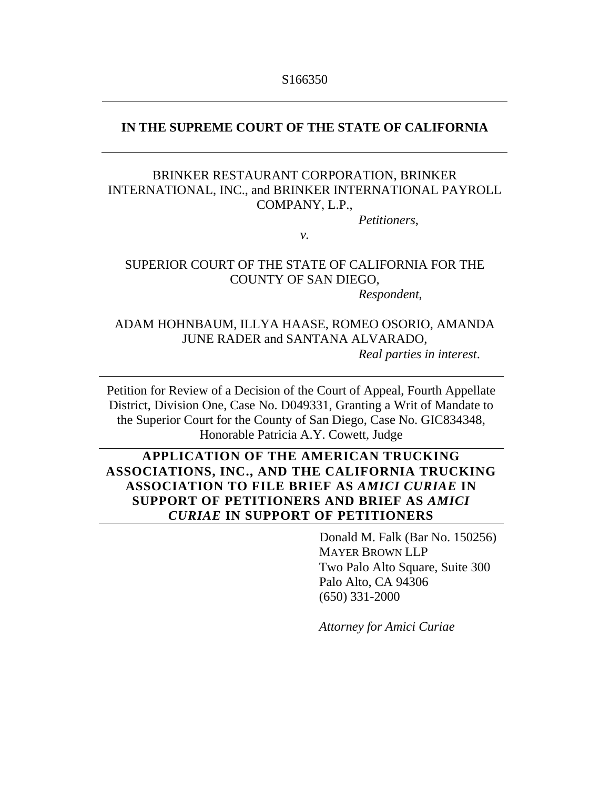#### **IN THE SUPREME COURT OF THE STATE OF CALIFORNIA**

## BRINKER RESTAURANT CORPORATION, BRINKER INTERNATIONAL, INC., and BRINKER INTERNATIONAL PAYROLL COMPANY, L.P.,

*Petitioners*,

*v.* 

## SUPERIOR COURT OF THE STATE OF CALIFORNIA FOR THE COUNTY OF SAN DIEGO,

*Respondent*,

### ADAM HOHNBAUM, ILLYA HAASE, ROMEO OSORIO, AMANDA JUNE RADER and SANTANA ALVARADO, *Real parties in interest*.

Petition for Review of a Decision of the Court of Appeal, Fourth Appellate District, Division One, Case No. D049331, Granting a Writ of Mandate to the Superior Court for the County of San Diego, Case No. GIC834348, Honorable Patricia A.Y. Cowett, Judge

## **APPLICATION OF THE AMERICAN TRUCKING ASSOCIATIONS, INC., AND THE CALIFORNIA TRUCKING ASSOCIATION TO FILE BRIEF AS** *AMICI CURIAE* **IN SUPPORT OF PETITIONERS AND BRIEF AS** *AMICI CURIAE* **IN SUPPORT OF PETITIONERS**

Donald M. Falk (Bar No. 150256) MAYER BROWN LLP Two Palo Alto Square, Suite 300 Palo Alto, CA 94306 (650) 331-2000

*Attorney for Amici Curiae*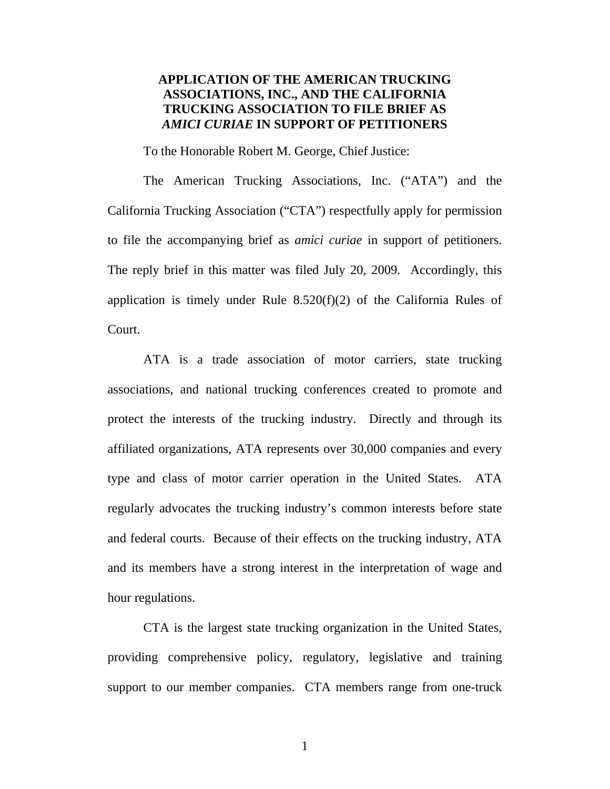### **APPLICATION OF THE AMERICAN TRUCKING ASSOCIATIONS, INC., AND THE CALIFORNIA TRUCKING ASSOCIATION TO FILE BRIEF AS**  *AMICI CURIAE* **IN SUPPORT OF PETITIONERS**

To the Honorable Robert M. George, Chief Justice:

The American Trucking Associations, Inc. ("ATA") and the California Trucking Association ("CTA") respectfully apply for permission to file the accompanying brief as *amici curiae* in support of petitioners. The reply brief in this matter was filed July 20, 2009. Accordingly, this application is timely under Rule  $8.520(f)(2)$  of the California Rules of Court.

ATA is a trade association of motor carriers, state trucking associations, and national trucking conferences created to promote and protect the interests of the trucking industry. Directly and through its affiliated organizations, ATA represents over 30,000 companies and every type and class of motor carrier operation in the United States. ATA regularly advocates the trucking industry's common interests before state and federal courts. Because of their effects on the trucking industry, ATA and its members have a strong interest in the interpretation of wage and hour regulations.

CTA is the largest state trucking organization in the United States, providing comprehensive policy, regulatory, legislative and training support to our member companies. CTA members range from one-truck

1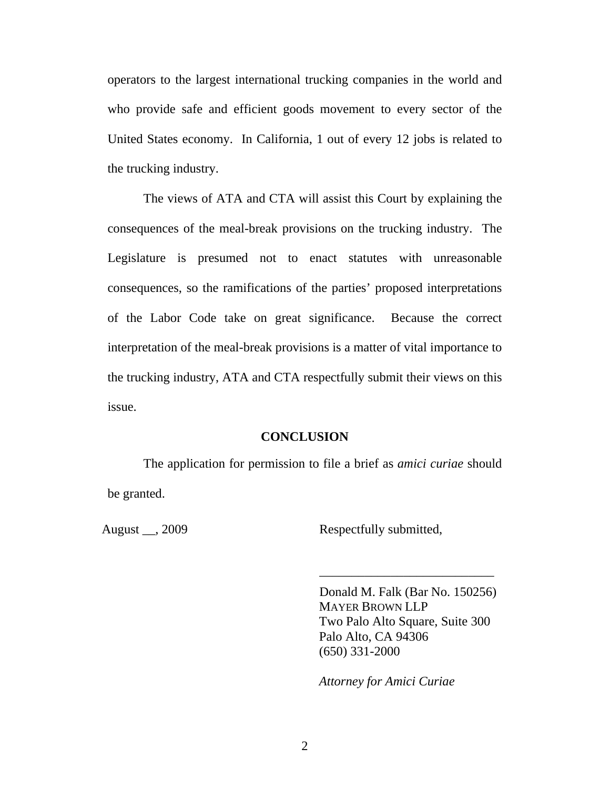operators to the largest international trucking companies in the world and who provide safe and efficient goods movement to every sector of the United States economy. In California, 1 out of every 12 jobs is related to the trucking industry.

The views of ATA and CTA will assist this Court by explaining the consequences of the meal-break provisions on the trucking industry. The Legislature is presumed not to enact statutes with unreasonable consequences, so the ramifications of the parties' proposed interpretations of the Labor Code take on great significance. Because the correct interpretation of the meal-break provisions is a matter of vital importance to the trucking industry, ATA and CTA respectfully submit their views on this issue.

#### **CONCLUSION**

The application for permission to file a brief as *amici curiae* should be granted.

August \_\_, 2009 Respectfully submitted,

Donald M. Falk (Bar No. 150256) MAYER BROWN LLP Two Palo Alto Square, Suite 300 Palo Alto, CA 94306 (650) 331-2000

\_\_\_\_\_\_\_\_\_\_\_\_\_\_\_\_\_\_\_\_\_\_\_\_\_\_\_

*Attorney for Amici Curiae*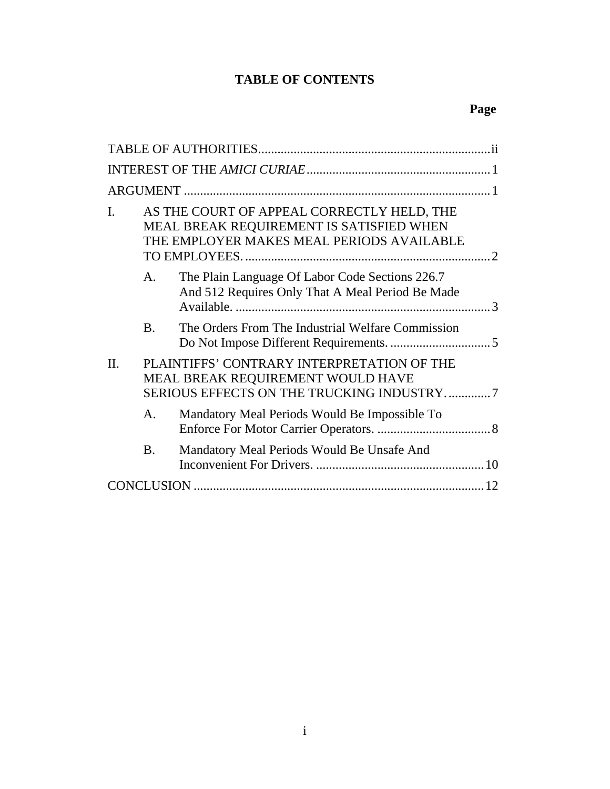## **TABLE OF CONTENTS**

| I.      |                | AS THE COURT OF APPEAL CORRECTLY HELD, THE<br>MEAL BREAK REQUIREMENT IS SATISFIED WHEN<br>THE EMPLOYER MAKES MEAL PERIODS AVAILABLE |  |  |
|---------|----------------|-------------------------------------------------------------------------------------------------------------------------------------|--|--|
|         | $\mathsf{A}$ . | The Plain Language Of Labor Code Sections 226.7<br>And 512 Requires Only That A Meal Period Be Made                                 |  |  |
|         | $\mathbf{B}$ . | The Orders From The Industrial Welfare Commission                                                                                   |  |  |
| $\Pi$ . |                | PLAINTIFFS' CONTRARY INTERPRETATION OF THE<br>MEAL BREAK REQUIREMENT WOULD HAVE<br>SERIOUS EFFECTS ON THE TRUCKING INDUSTRY7        |  |  |
|         | $\mathsf{A}$ . | Mandatory Meal Periods Would Be Impossible To                                                                                       |  |  |
|         | <b>B.</b>      | Mandatory Meal Periods Would Be Unsafe And                                                                                          |  |  |
|         |                |                                                                                                                                     |  |  |

## **Page**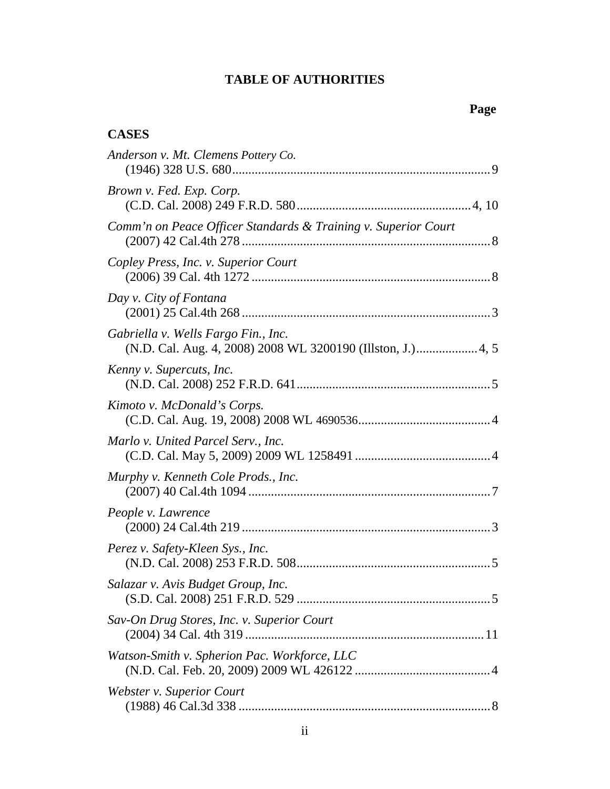## **TABLE OF AUTHORITIES**

## **Page**

## **CASES**

| Anderson v. Mt. Clemens Pottery Co.                                                                |  |
|----------------------------------------------------------------------------------------------------|--|
| Brown v. Fed. Exp. Corp.                                                                           |  |
| Comm'n on Peace Officer Standards & Training v. Superior Court                                     |  |
| Copley Press, Inc. v. Superior Court                                                               |  |
| Day v. City of Fontana                                                                             |  |
| Gabriella v. Wells Fargo Fin., Inc.<br>(N.D. Cal. Aug. 4, 2008) 2008 WL 3200190 (Illston, J.) 4, 5 |  |
| Kenny v. Supercuts, Inc.                                                                           |  |
| Kimoto v. McDonald's Corps.                                                                        |  |
| Marlo v. United Parcel Serv., Inc.                                                                 |  |
| Murphy v. Kenneth Cole Prods., Inc.                                                                |  |
| People v. Lawrence                                                                                 |  |
| Perez v. Safety-Kleen Sys., Inc.                                                                   |  |
| Salazar v. Avis Budget Group, Inc.                                                                 |  |
| Sav-On Drug Stores, Inc. v. Superior Court                                                         |  |
| Watson-Smith v. Spherion Pac. Workforce, LLC                                                       |  |
| Webster v. Superior Court                                                                          |  |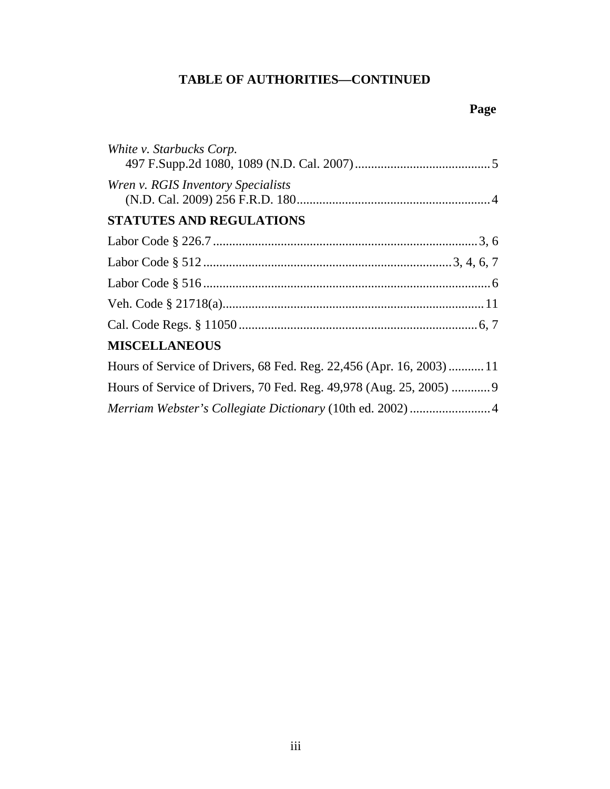## **TABLE OF AUTHORITIES—CONTINUED**

## **Page**

| White v. Starbucks Corp.                                            |
|---------------------------------------------------------------------|
| Wren v. RGIS Inventory Specialists                                  |
| <b>STATUTES AND REGULATIONS</b>                                     |
|                                                                     |
|                                                                     |
|                                                                     |
|                                                                     |
|                                                                     |
| <b>MISCELLANEOUS</b>                                                |
| Hours of Service of Drivers, 68 Fed. Reg. 22,456 (Apr. 16, 2003)11  |
| Hours of Service of Drivers, 70 Fed. Reg. 49,978 (Aug. 25, 2005)  9 |
| Merriam Webster's Collegiate Dictionary (10th ed. 2002) 4           |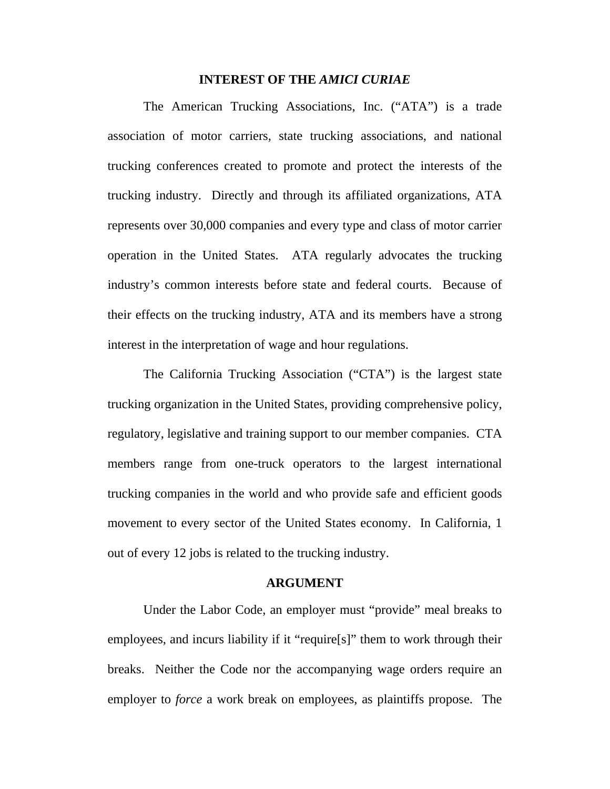#### **INTEREST OF THE** *AMICI CURIAE*

The American Trucking Associations, Inc. ("ATA") is a trade association of motor carriers, state trucking associations, and national trucking conferences created to promote and protect the interests of the trucking industry. Directly and through its affiliated organizations, ATA represents over 30,000 companies and every type and class of motor carrier operation in the United States. ATA regularly advocates the trucking industry's common interests before state and federal courts. Because of their effects on the trucking industry, ATA and its members have a strong interest in the interpretation of wage and hour regulations.

The California Trucking Association ("CTA") is the largest state trucking organization in the United States, providing comprehensive policy, regulatory, legislative and training support to our member companies. CTA members range from one-truck operators to the largest international trucking companies in the world and who provide safe and efficient goods movement to every sector of the United States economy. In California, 1 out of every 12 jobs is related to the trucking industry.

#### **ARGUMENT**

Under the Labor Code, an employer must "provide" meal breaks to employees, and incurs liability if it "require[s]" them to work through their breaks. Neither the Code nor the accompanying wage orders require an employer to *force* a work break on employees, as plaintiffs propose. The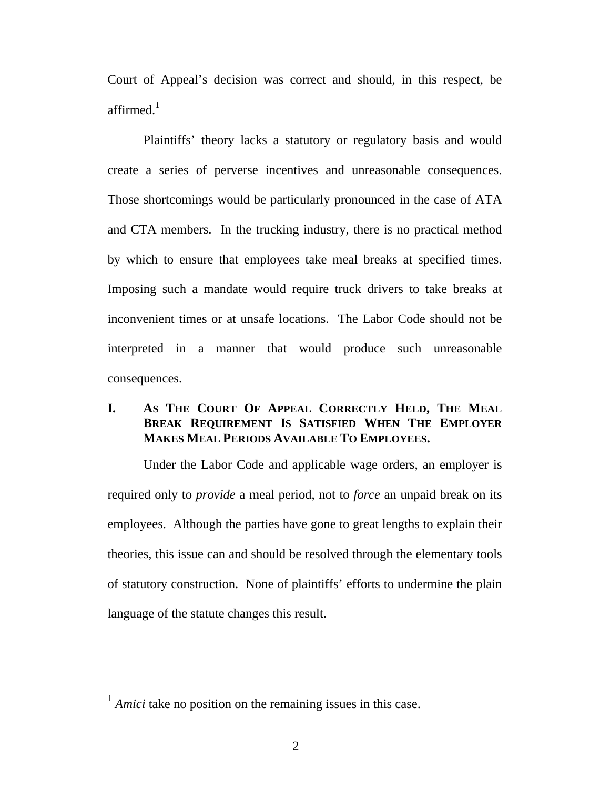Court of Appeal's decision was correct and should, in this respect, be affirmed. $1$ 

Plaintiffs' theory lacks a statutory or regulatory basis and would create a series of perverse incentives and unreasonable consequences. Those shortcomings would be particularly pronounced in the case of ATA and CTA members. In the trucking industry, there is no practical method by which to ensure that employees take meal breaks at specified times. Imposing such a mandate would require truck drivers to take breaks at inconvenient times or at unsafe locations. The Labor Code should not be interpreted in a manner that would produce such unreasonable consequences.

## **I. AS THE COURT OF APPEAL CORRECTLY HELD, THE MEAL BREAK REQUIREMENT IS SATISFIED WHEN THE EMPLOYER MAKES MEAL PERIODS AVAILABLE TO EMPLOYEES.**

Under the Labor Code and applicable wage orders, an employer is required only to *provide* a meal period, not to *force* an unpaid break on its employees. Although the parties have gone to great lengths to explain their theories, this issue can and should be resolved through the elementary tools of statutory construction. None of plaintiffs' efforts to undermine the plain language of the statute changes this result.

<sup>&</sup>lt;sup>1</sup> *Amici* take no position on the remaining issues in this case.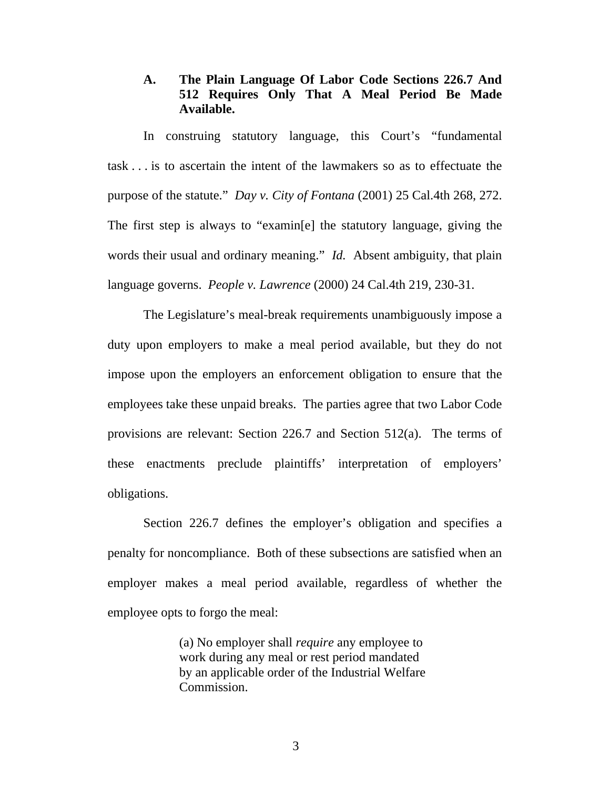### **A. The Plain Language Of Labor Code Sections 226.7 And 512 Requires Only That A Meal Period Be Made Available.**

In construing statutory language, this Court's "fundamental task . . . is to ascertain the intent of the lawmakers so as to effectuate the purpose of the statute." *Day v. City of Fontana* (2001) 25 Cal.4th 268, 272. The first step is always to "examin[e] the statutory language, giving the words their usual and ordinary meaning." *Id.* Absent ambiguity, that plain language governs. *People v. Lawrence* (2000) 24 Cal.4th 219, 230-31.

The Legislature's meal-break requirements unambiguously impose a duty upon employers to make a meal period available, but they do not impose upon the employers an enforcement obligation to ensure that the employees take these unpaid breaks. The parties agree that two Labor Code provisions are relevant: Section 226.7 and Section 512(a). The terms of these enactments preclude plaintiffs' interpretation of employers' obligations.

Section 226.7 defines the employer's obligation and specifies a penalty for noncompliance. Both of these subsections are satisfied when an employer makes a meal period available, regardless of whether the employee opts to forgo the meal:

> (a) No employer shall *require* any employee to work during any meal or rest period mandated by an applicable order of the Industrial Welfare Commission.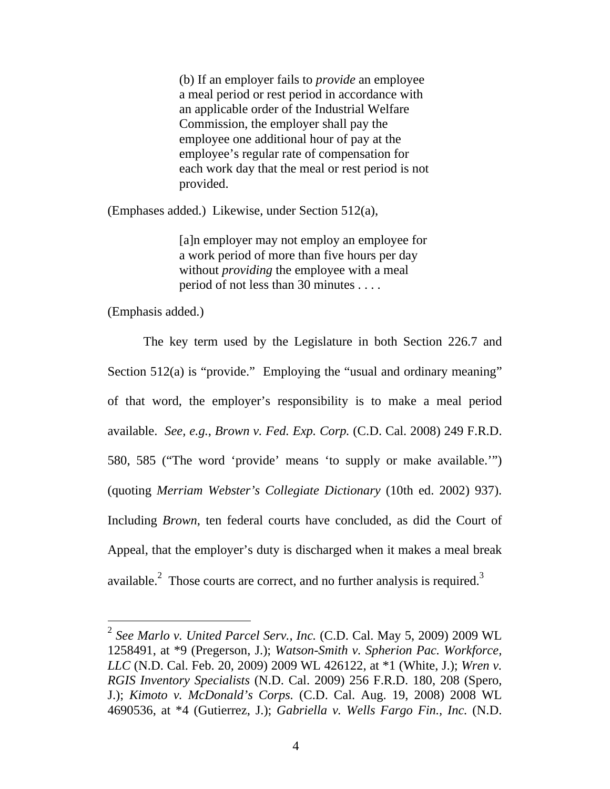(b) If an employer fails to *provide* an employee a meal period or rest period in accordance with an applicable order of the Industrial Welfare Commission, the employer shall pay the employee one additional hour of pay at the employee's regular rate of compensation for each work day that the meal or rest period is not provided.

(Emphases added.) Likewise, under Section 512(a),

[a]n employer may not employ an employee for a work period of more than five hours per day without *providing* the employee with a meal period of not less than 30 minutes . . . .

(Emphasis added.)

 $\overline{a}$ 

The key term used by the Legislature in both Section 226.7 and Section 512(a) is "provide." Employing the "usual and ordinary meaning" of that word, the employer's responsibility is to make a meal period available. *See, e.g.*, *Brown v. Fed. Exp. Corp.* (C.D. Cal. 2008) 249 F.R.D. 580, 585 ("The word 'provide' means 'to supply or make available.'") (quoting *Merriam Webster's Collegiate Dictionary* (10th ed. 2002) 937). Including *Brown*, ten federal courts have concluded, as did the Court of Appeal, that the employer's duty is discharged when it makes a meal break available. $^{2}$  Those courts are correct, and no further analysis is required.<sup>3</sup>

<sup>2</sup> *See Marlo v. United Parcel Serv., Inc.* (C.D. Cal. May 5, 2009) 2009 WL 1258491, at \*9 (Pregerson, J.); *Watson-Smith v. Spherion Pac. Workforce, LLC* (N.D. Cal. Feb. 20, 2009) 2009 WL 426122, at \*1 (White, J.); *Wren v. RGIS Inventory Specialists* (N.D. Cal. 2009) 256 F.R.D. 180, 208 (Spero, J.); *Kimoto v. McDonald's Corps.* (C.D. Cal. Aug. 19, 2008) 2008 WL 4690536, at \*4 (Gutierrez, J.); *Gabriella v. Wells Fargo Fin., Inc.* (N.D.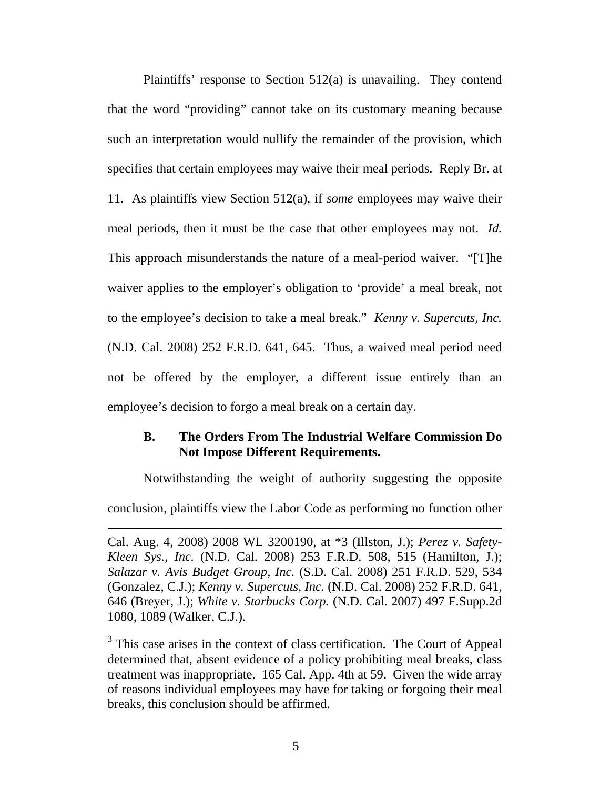Plaintiffs' response to Section 512(a) is unavailing. They contend that the word "providing" cannot take on its customary meaning because such an interpretation would nullify the remainder of the provision, which specifies that certain employees may waive their meal periods. Reply Br. at 11. As plaintiffs view Section 512(a), if *some* employees may waive their meal periods, then it must be the case that other employees may not. *Id.* This approach misunderstands the nature of a meal-period waiver. "[T]he waiver applies to the employer's obligation to 'provide' a meal break, not to the employee's decision to take a meal break." *Kenny v. Supercuts, Inc.* (N.D. Cal. 2008) 252 F.R.D. 641, 645. Thus, a waived meal period need not be offered by the employer, a different issue entirely than an employee's decision to forgo a meal break on a certain day.

### **B. The Orders From The Industrial Welfare Commission Do Not Impose Different Requirements.**

Notwithstanding the weight of authority suggesting the opposite conclusion, plaintiffs view the Labor Code as performing no function other

 $\overline{a}$ 

Cal. Aug. 4, 2008) 2008 WL 3200190, at \*3 (Illston, J.); *Perez v. Safety-Kleen Sys., Inc.* (N.D. Cal. 2008) 253 F.R.D. 508, 515 (Hamilton, J.); *Salazar v. Avis Budget Group, Inc.* (S.D. Cal. 2008) 251 F.R.D. 529, 534 (Gonzalez, C.J.); *Kenny v. Supercuts, Inc.* (N.D. Cal. 2008) 252 F.R.D. 641, 646 (Breyer, J.); *White v. Starbucks Corp.* (N.D. Cal. 2007) 497 F.Supp.2d 1080, 1089 (Walker, C.J.).

 $3$  This case arises in the context of class certification. The Court of Appeal determined that, absent evidence of a policy prohibiting meal breaks, class treatment was inappropriate. 165 Cal. App. 4th at 59. Given the wide array of reasons individual employees may have for taking or forgoing their meal breaks, this conclusion should be affirmed.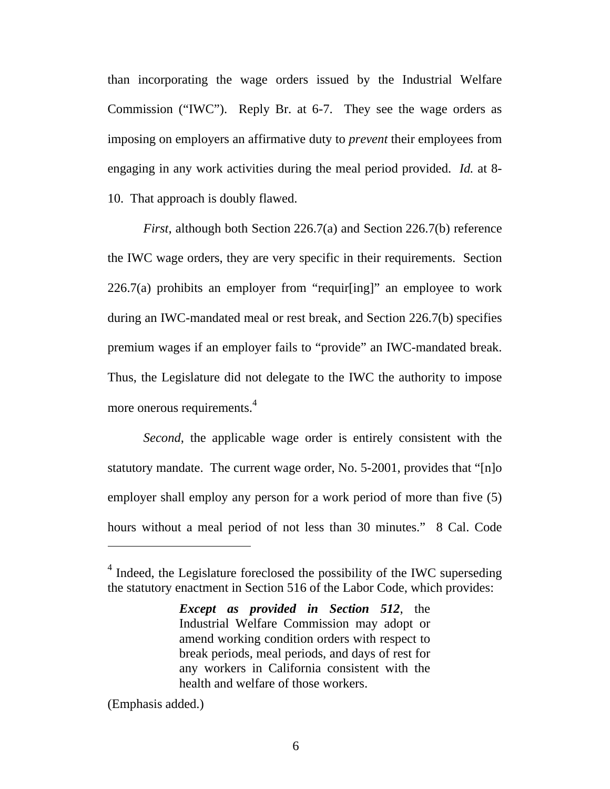than incorporating the wage orders issued by the Industrial Welfare Commission ("IWC"). Reply Br. at 6-7.They see the wage orders as imposing on employers an affirmative duty to *prevent* their employees from engaging in any work activities during the meal period provided. *Id.* at 8- 10. That approach is doubly flawed.

*First*, although both Section 226.7(a) and Section 226.7(b) reference the IWC wage orders, they are very specific in their requirements. Section 226.7(a) prohibits an employer from "requir[ing]" an employee to work during an IWC-mandated meal or rest break, and Section 226.7(b) specifies premium wages if an employer fails to "provide" an IWC-mandated break. Thus, the Legislature did not delegate to the IWC the authority to impose more onerous requirements.<sup>4</sup>

*Second*, the applicable wage order is entirely consistent with the statutory mandate. The current wage order, No. 5-2001, provides that "[n]o employer shall employ any person for a work period of more than five (5) hours without a meal period of not less than 30 minutes." 8 Cal. Code

(Emphasis added.)

<sup>&</sup>lt;sup>4</sup> Indeed, the Legislature foreclosed the possibility of the IWC superseding the statutory enactment in Section 516 of the Labor Code, which provides:

*Except as provided in Section 512*, the Industrial Welfare Commission may adopt or amend working condition orders with respect to break periods, meal periods, and days of rest for any workers in California consistent with the health and welfare of those workers.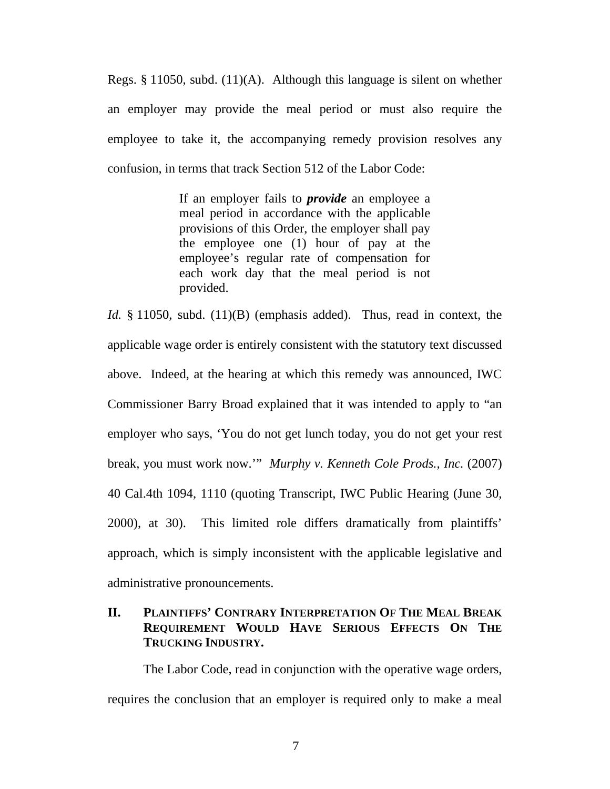Regs. § 11050, subd. (11)(A). Although this language is silent on whether an employer may provide the meal period or must also require the employee to take it, the accompanying remedy provision resolves any confusion, in terms that track Section 512 of the Labor Code:

> If an employer fails to *provide* an employee a meal period in accordance with the applicable provisions of this Order, the employer shall pay the employee one (1) hour of pay at the employee's regular rate of compensation for each work day that the meal period is not provided.

*Id.* § 11050, subd. (11)(B) (emphasis added). Thus, read in context, the applicable wage order is entirely consistent with the statutory text discussed above. Indeed, at the hearing at which this remedy was announced, IWC Commissioner Barry Broad explained that it was intended to apply to "an employer who says, 'You do not get lunch today, you do not get your rest break, you must work now.'" *Murphy v. Kenneth Cole Prods., Inc.* (2007) 40 Cal.4th 1094, 1110 (quoting Transcript, IWC Public Hearing (June 30, 2000), at 30). This limited role differs dramatically from plaintiffs' approach, which is simply inconsistent with the applicable legislative and administrative pronouncements.

### **II. PLAINTIFFS' CONTRARY INTERPRETATION OF THE MEAL BREAK REQUIREMENT WOULD HAVE SERIOUS EFFECTS ON THE TRUCKING INDUSTRY.**

The Labor Code, read in conjunction with the operative wage orders, requires the conclusion that an employer is required only to make a meal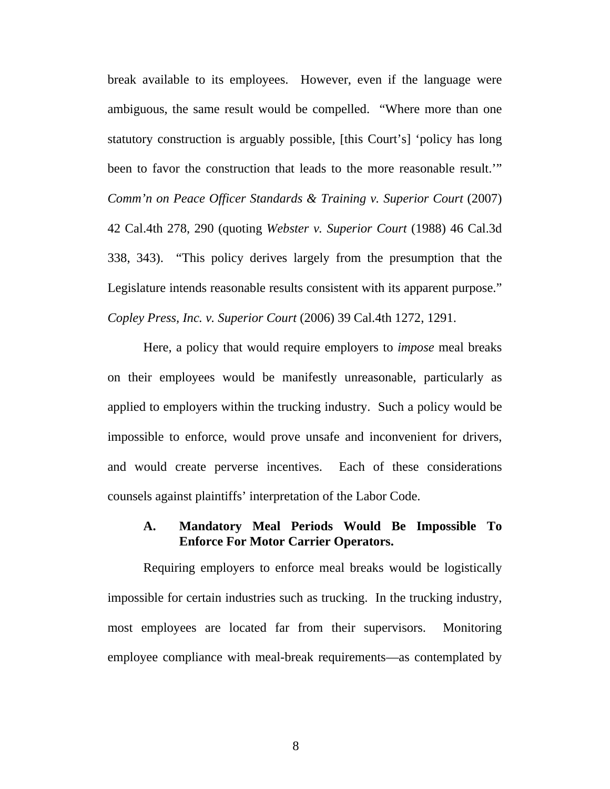break available to its employees. However, even if the language were ambiguous, the same result would be compelled. "Where more than one statutory construction is arguably possible, [this Court's] 'policy has long been to favor the construction that leads to the more reasonable result.'" *Comm'n on Peace Officer Standards & Training v. Superior Court* (2007) 42 Cal.4th 278, 290 (quoting *Webster v. Superior Court* (1988) 46 Cal.3d 338, 343). "This policy derives largely from the presumption that the Legislature intends reasonable results consistent with its apparent purpose." *Copley Press, Inc. v. Superior Court* (2006) 39 Cal.4th 1272, 1291.

Here, a policy that would require employers to *impose* meal breaks on their employees would be manifestly unreasonable, particularly as applied to employers within the trucking industry. Such a policy would be impossible to enforce, would prove unsafe and inconvenient for drivers, and would create perverse incentives. Each of these considerations counsels against plaintiffs' interpretation of the Labor Code.

### **A. Mandatory Meal Periods Would Be Impossible To Enforce For Motor Carrier Operators.**

Requiring employers to enforce meal breaks would be logistically impossible for certain industries such as trucking. In the trucking industry, most employees are located far from their supervisors. Monitoring employee compliance with meal-break requirements—as contemplated by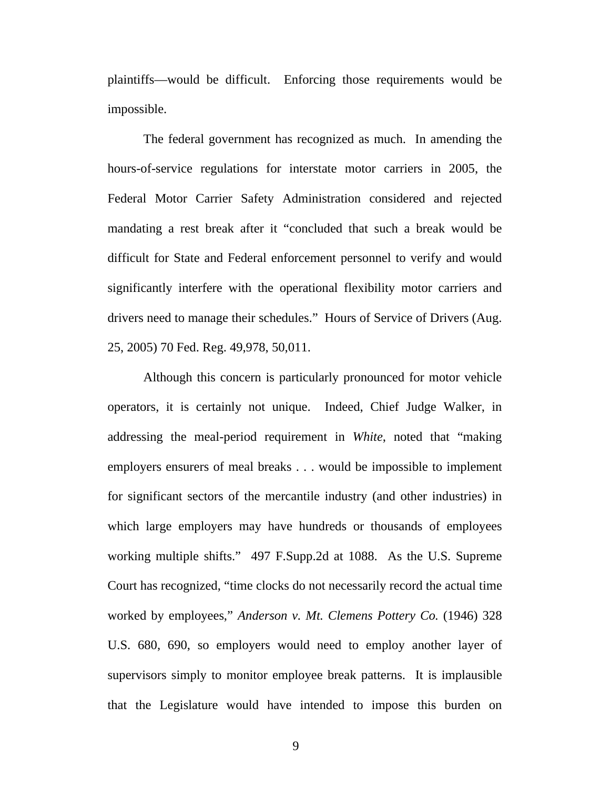plaintiffs—would be difficult. Enforcing those requirements would be impossible.

The federal government has recognized as much. In amending the hours-of-service regulations for interstate motor carriers in 2005, the Federal Motor Carrier Safety Administration considered and rejected mandating a rest break after it "concluded that such a break would be difficult for State and Federal enforcement personnel to verify and would significantly interfere with the operational flexibility motor carriers and drivers need to manage their schedules." Hours of Service of Drivers (Aug. 25, 2005) 70 Fed. Reg. 49,978, 50,011.

Although this concern is particularly pronounced for motor vehicle operators, it is certainly not unique. Indeed, Chief Judge Walker, in addressing the meal-period requirement in *White*, noted that "making employers ensurers of meal breaks . . . would be impossible to implement for significant sectors of the mercantile industry (and other industries) in which large employers may have hundreds or thousands of employees working multiple shifts." 497 F.Supp.2d at 1088. As the U.S. Supreme Court has recognized, "time clocks do not necessarily record the actual time worked by employees," *Anderson v. Mt. Clemens Pottery Co.* (1946) 328 U.S. 680, 690, so employers would need to employ another layer of supervisors simply to monitor employee break patterns. It is implausible that the Legislature would have intended to impose this burden on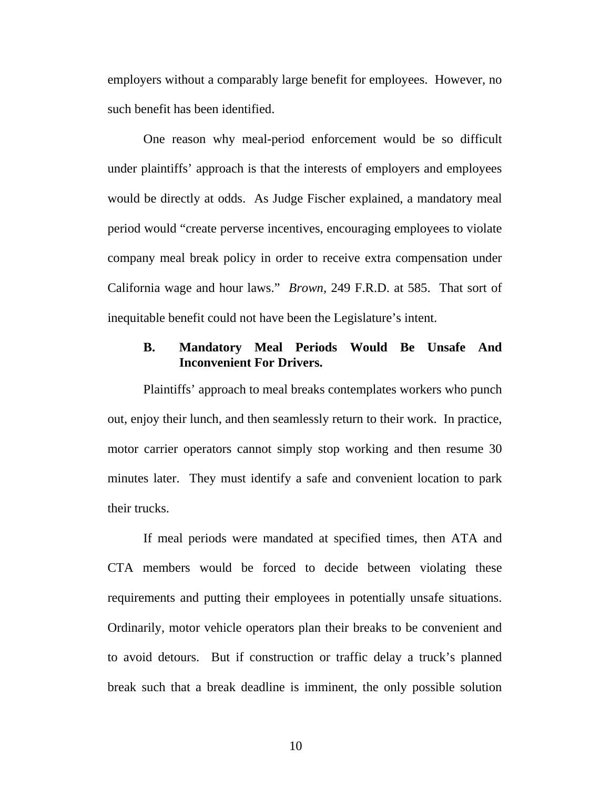employers without a comparably large benefit for employees. However, no such benefit has been identified.

One reason why meal-period enforcement would be so difficult under plaintiffs' approach is that the interests of employers and employees would be directly at odds. As Judge Fischer explained, a mandatory meal period would "create perverse incentives, encouraging employees to violate company meal break policy in order to receive extra compensation under California wage and hour laws." *Brown*, 249 F.R.D. at 585. That sort of inequitable benefit could not have been the Legislature's intent.

### **B. Mandatory Meal Periods Would Be Unsafe And Inconvenient For Drivers.**

Plaintiffs' approach to meal breaks contemplates workers who punch out, enjoy their lunch, and then seamlessly return to their work. In practice, motor carrier operators cannot simply stop working and then resume 30 minutes later. They must identify a safe and convenient location to park their trucks.

If meal periods were mandated at specified times, then ATA and CTA members would be forced to decide between violating these requirements and putting their employees in potentially unsafe situations. Ordinarily, motor vehicle operators plan their breaks to be convenient and to avoid detours. But if construction or traffic delay a truck's planned break such that a break deadline is imminent, the only possible solution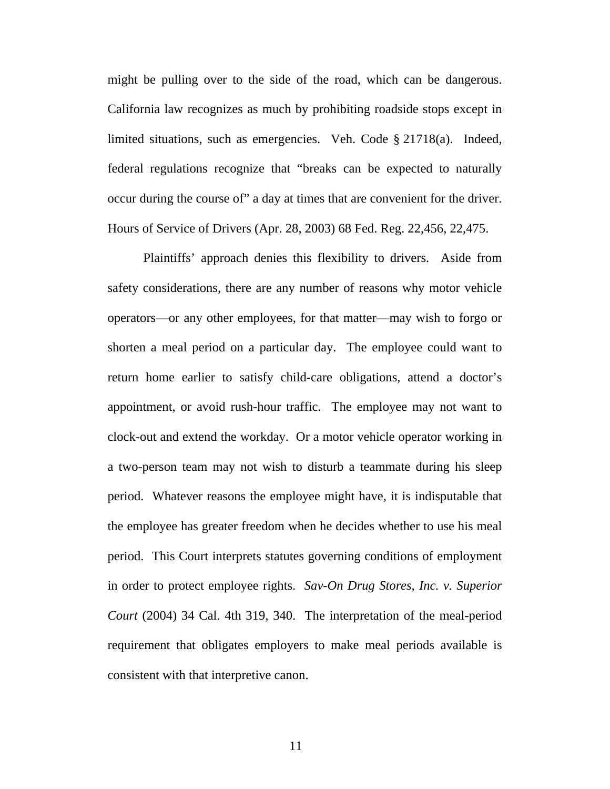might be pulling over to the side of the road, which can be dangerous. California law recognizes as much by prohibiting roadside stops except in limited situations, such as emergencies. Veh. Code § 21718(a). Indeed, federal regulations recognize that "breaks can be expected to naturally occur during the course of" a day at times that are convenient for the driver. Hours of Service of Drivers (Apr. 28, 2003) 68 Fed. Reg. 22,456, 22,475.

Plaintiffs' approach denies this flexibility to drivers. Aside from safety considerations, there are any number of reasons why motor vehicle operators—or any other employees, for that matter—may wish to forgo or shorten a meal period on a particular day. The employee could want to return home earlier to satisfy child-care obligations, attend a doctor's appointment, or avoid rush-hour traffic. The employee may not want to clock-out and extend the workday. Or a motor vehicle operator working in a two-person team may not wish to disturb a teammate during his sleep period. Whatever reasons the employee might have, it is indisputable that the employee has greater freedom when he decides whether to use his meal period. This Court interprets statutes governing conditions of employment in order to protect employee rights. *Sav-On Drug Stores, Inc. v. Superior Court* (2004) 34 Cal. 4th 319, 340. The interpretation of the meal-period requirement that obligates employers to make meal periods available is consistent with that interpretive canon.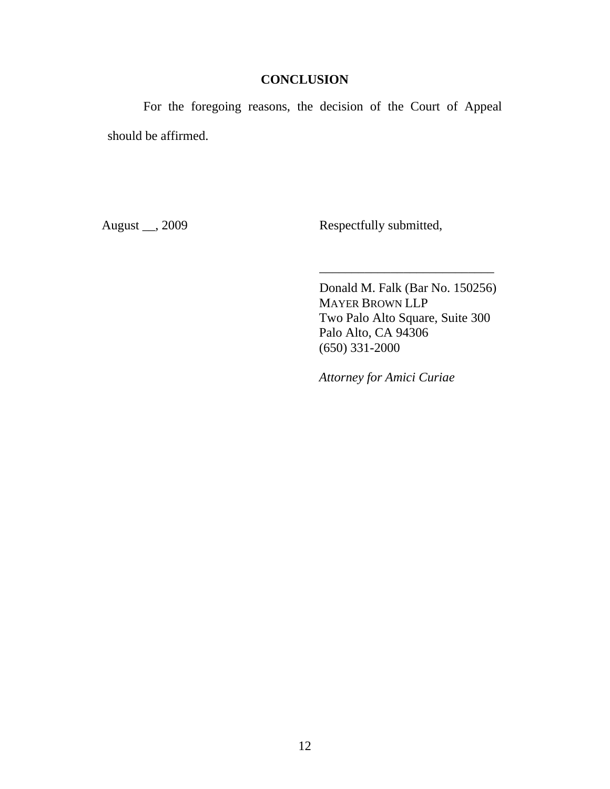## **CONCLUSION**

For the foregoing reasons, the decision of the Court of Appeal should be affirmed.

August \_\_, 2009 Respectfully submitted,

Donald M. Falk (Bar No. 150256) MAYER BROWN LLP Two Palo Alto Square, Suite 300 Palo Alto, CA 94306 (650) 331-2000

\_\_\_\_\_\_\_\_\_\_\_\_\_\_\_\_\_\_\_\_\_\_\_\_\_\_\_

*Attorney for Amici Curiae*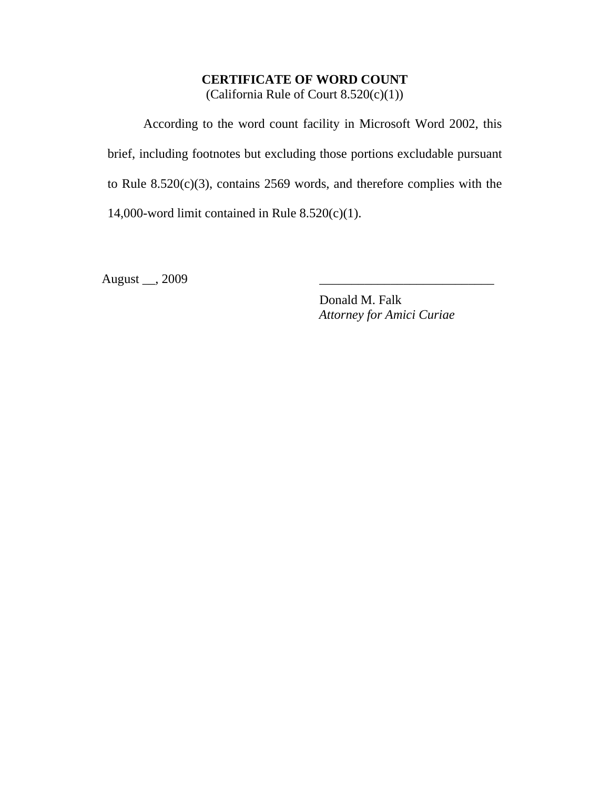# **CERTIFICATE OF WORD COUNT**

(California Rule of Court 8.520(c)(1))

According to the word count facility in Microsoft Word 2002, this brief, including footnotes but excluding those portions excludable pursuant to Rule 8.520(c)(3), contains 2569 words, and therefore complies with the 14,000-word limit contained in Rule  $8.520(c)(1)$ .

August \_\_, 2009

Donald M. Falk *Attorney for Amici Curiae*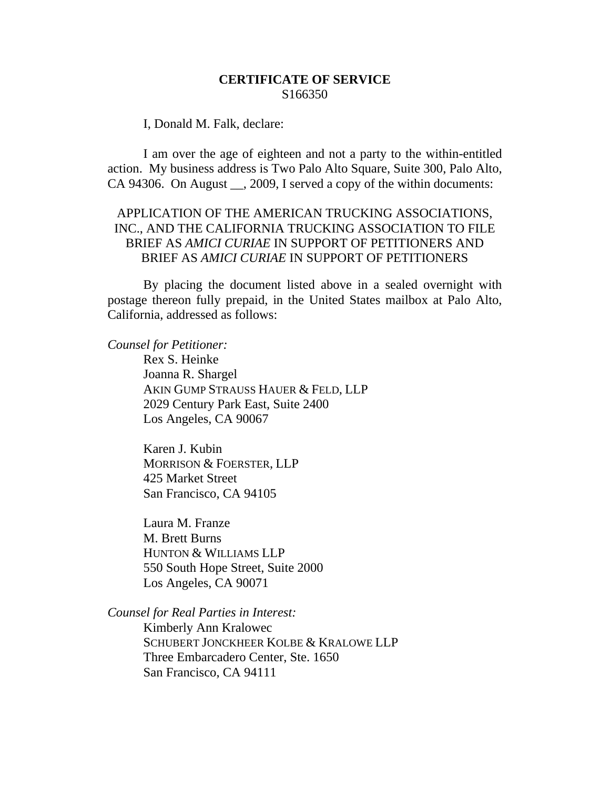#### **CERTIFICATE OF SERVICE**  S166350

I, Donald M. Falk, declare:

I am over the age of eighteen and not a party to the within-entitled action. My business address is Two Palo Alto Square, Suite 300, Palo Alto, CA 94306. On August \_\_, 2009, I served a copy of the within documents:

### APPLICATION OF THE AMERICAN TRUCKING ASSOCIATIONS, INC., AND THE CALIFORNIA TRUCKING ASSOCIATION TO FILE BRIEF AS *AMICI CURIAE* IN SUPPORT OF PETITIONERS AND BRIEF AS *AMICI CURIAE* IN SUPPORT OF PETITIONERS

By placing the document listed above in a sealed overnight with postage thereon fully prepaid, in the United States mailbox at Palo Alto, California, addressed as follows:

*Counsel for Petitioner:* 

Rex S. Heinke Joanna R. Shargel AKIN GUMP STRAUSS HAUER & FELD, LLP 2029 Century Park East, Suite 2400 Los Angeles, CA 90067

Karen J. Kubin MORRISON & FOERSTER, LLP 425 Market Street San Francisco, CA 94105

Laura M. Franze M. Brett Burns HUNTON & WILLIAMS LLP 550 South Hope Street, Suite 2000 Los Angeles, CA 90071

*Counsel for Real Parties in Interest:* 

Kimberly Ann Kralowec SCHUBERT JONCKHEER KOLBE & KRALOWE LLP Three Embarcadero Center, Ste. 1650 San Francisco, CA 94111